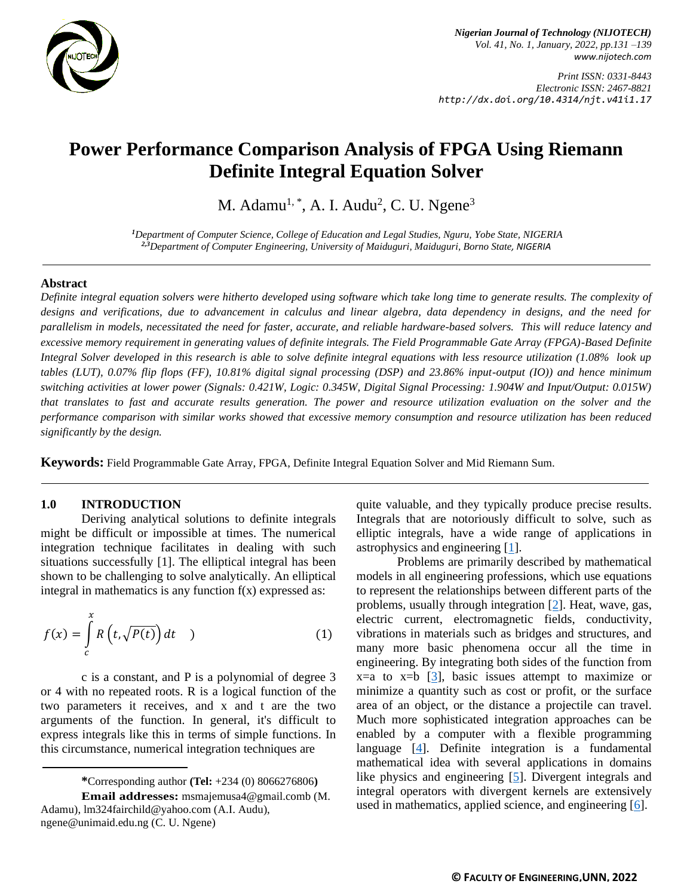

*Nigerian Journal of Technology (NIJOTECH) Vol. 41, No. 1, January, 2022, pp.131 –139 [www.nijotech.com](http://www.nijotech.com/)*

*Print ISSN: 0331-8443 Electronic ISSN: 2467-8821 http://dx.doi.org/10.4314/njt.v41i1.17*

# **Power Performance Comparison Analysis of FPGA Using Riemann Definite Integral Equation Solver**

M. Adamu<sup>1, \*</sup>, A. I. Audu<sup>2</sup>, C. U. Ngene<sup>3</sup>

*<sup>1</sup>Department of Computer Science, College of Education and Legal Studies, Nguru, Yobe State, NIGERIA 2,3Department of Computer Engineering, University of Maiduguri, Maiduguri, Borno State, NIGERIA*

#### **Abstract**

*Definite integral equation solvers were hitherto developed using software which take long time to generate results. The complexity of designs and verifications, due to advancement in calculus and linear algebra, data dependency in designs, and the need for parallelism in models, necessitated the need for faster, accurate, and reliable hardware-based solvers. This will reduce latency and excessive memory requirement in generating values of definite integrals. The Field Programmable Gate Array (FPGA)-Based Definite Integral Solver developed in this research is able to solve definite integral equations with less resource utilization (1.08% look up tables (LUT), 0.07% flip flops (FF), 10.81% digital signal processing (DSP) and 23.86% input-output (IO)) and hence minimum switching activities at lower power (Signals: 0.421W, Logic: 0.345W, Digital Signal Processing: 1.904W and Input/Output: 0.015W) that translates to fast and accurate results generation. The power and resource utilization evaluation on the solver and the performance comparison with similar works showed that excessive memory consumption and resource utilization has been reduced significantly by the design.*

**Keywords:** Field Programmable Gate Array, FPGA, Definite Integral Equation Solver and Mid Riemann Sum.

#### **1.0 INTRODUCTION**

Deriving analytical solutions to definite integrals might be difficult or impossible at times. The numerical integration technique facilitates in dealing with such situations successfully [1]. The elliptical integral has been shown to be challenging to solve analytically. An elliptical integral in mathematics is any function  $f(x)$  expressed as:

$$
f(x) = \int_{c}^{x} R\left(t, \sqrt{P(t)}\right) dt \quad (1)
$$

c is a constant, and P is a polynomial of degree 3 or 4 with no repeated roots. R is a logical function of the two parameters it receives, and x and t are the two arguments of the function. In general, it's difficult to express integrals like this in terms of simple functions. In this circumstance, numerical integration techniques are

quite valuable, and they typically produce precise results. Integrals that are notoriously difficult to solve, such as elliptic integrals, have a wide range of applications in astrophysics and engineering [\[1\]](#page-8-0).

Problems are primarily described by mathematical models in all engineering professions, which use equations to represent the relationships between different parts of the problems, usually through integration [\[2\]](#page-8-1). Heat, wave, gas, electric current, electromagnetic fields, conductivity, vibrations in materials such as bridges and structures, and many more basic phenomena occur all the time in engineering. By integrating both sides of the function from  $x=a$  to  $x=b$  [\[3\]](#page-8-2), basic issues attempt to maximize or minimize a quantity such as cost or profit, or the surface area of an object, or the distance a projectile can travel. Much more sophisticated integration approaches can be enabled by a computer with a flexible programming language [\[4\]](#page-8-3). Definite integration is a fundamental mathematical idea with several applications in domains like physics and engineering [\[5\]](#page-8-4). Divergent integrals and integral operators with divergent kernels are extensively used in mathematics, applied science, and engineering [\[6\]](#page-8-5).

**<sup>\*</sup>**Corresponding author **[\(Te](mailto:samnnaemeka.ugwu@unn.edu.ng)l:** +234 (0) 8066276806**)**

**Email addresses:** msmajemusa4@gmail.comb (M. Adamu), lm324fairchild@yahoo.com (A.I. Audu), ngene@unimaid.edu.ng (C. U. Ngene)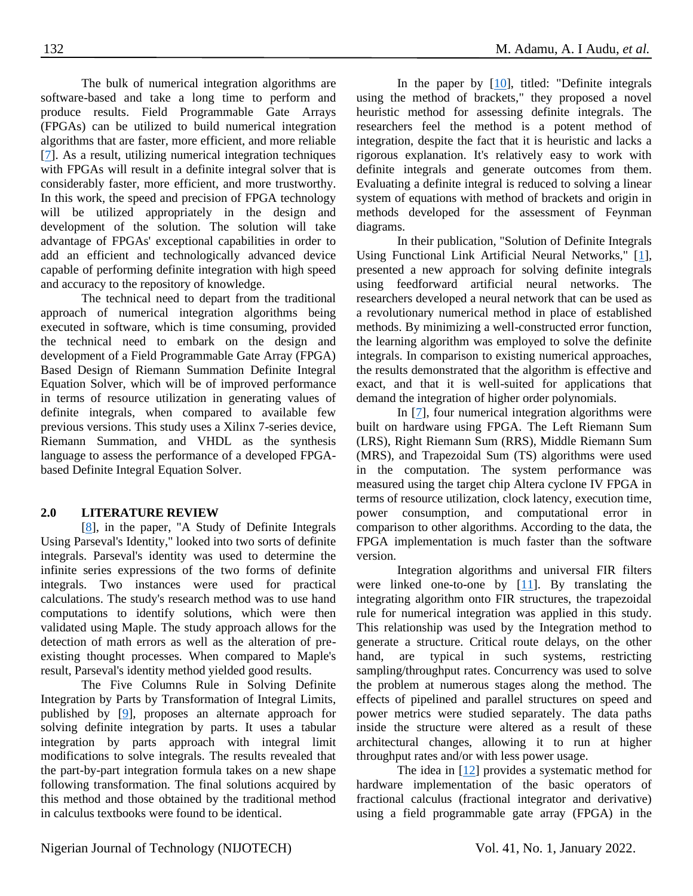The bulk of numerical integration algorithms are software-based and take a long time to perform and produce results. Field Programmable Gate Arrays (FPGAs) can be utilized to build numerical integration algorithms that are faster, more efficient, and more reliable [\[7\]](#page-8-6). As a result, utilizing numerical integration techniques with FPGAs will result in a definite integral solver that is considerably faster, more efficient, and more trustworthy. In this work, the speed and precision of FPGA technology will be utilized appropriately in the design and development of the solution. The solution will take advantage of FPGAs' exceptional capabilities in order to add an efficient and technologically advanced device capable of performing definite integration with high speed and accuracy to the repository of knowledge.

The technical need to depart from the traditional approach of numerical integration algorithms being executed in software, which is time consuming, provided the technical need to embark on the design and development of a Field Programmable Gate Array (FPGA) Based Design of Riemann Summation Definite Integral Equation Solver, which will be of improved performance in terms of resource utilization in generating values of definite integrals, when compared to available few previous versions. This study uses a Xilinx 7-series device, Riemann Summation, and VHDL as the synthesis language to assess the performance of a developed FPGAbased Definite Integral Equation Solver.

## **2.0 LITERATURE REVIEW**

[\[8\]](#page-8-7), in the paper, "A Study of Definite Integrals Using Parseval's Identity," looked into two sorts of definite integrals. Parseval's identity was used to determine the infinite series expressions of the two forms of definite integrals. Two instances were used for practical calculations. The study's research method was to use hand computations to identify solutions, which were then validated using Maple. The study approach allows for the detection of math errors as well as the alteration of preexisting thought processes. When compared to Maple's result, Parseval's identity method yielded good results.

The Five Columns Rule in Solving Definite Integration by Parts by Transformation of Integral Limits, published by [\[9\]](#page-8-8), proposes an alternate approach for solving definite integration by parts. It uses a tabular integration by parts approach with integral limit modifications to solve integrals. The results revealed that the part-by-part integration formula takes on a new shape following transformation. The final solutions acquired by this method and those obtained by the traditional method in calculus textbooks were found to be identical.

In the paper by  $[10]$ , titled: "Definite integrals using the method of brackets," they proposed a novel heuristic method for assessing definite integrals. The researchers feel the method is a potent method of integration, despite the fact that it is heuristic and lacks a rigorous explanation. It's relatively easy to work with definite integrals and generate outcomes from them. Evaluating a definite integral is reduced to solving a linear system of equations with method of brackets and origin in methods developed for the assessment of Feynman diagrams.

In their publication, "Solution of Definite Integrals Using Functional Link Artificial Neural Networks," [\[1\]](#page-8-0), presented a new approach for solving definite integrals using feedforward artificial neural networks. The researchers developed a neural network that can be used as a revolutionary numerical method in place of established methods. By minimizing a well-constructed error function, the learning algorithm was employed to solve the definite integrals. In comparison to existing numerical approaches, the results demonstrated that the algorithm is effective and exact, and that it is well-suited for applications that demand the integration of higher order polynomials.

In [\[7\]](#page-8-6), four numerical integration algorithms were built on hardware using FPGA. The Left Riemann Sum (LRS), Right Riemann Sum (RRS), Middle Riemann Sum (MRS), and Trapezoidal Sum (TS) algorithms were used in the computation. The system performance was measured using the target chip Altera cyclone IV FPGA in terms of resource utilization, clock latency, execution time, power consumption, and computational error in comparison to other algorithms. According to the data, the FPGA implementation is much faster than the software version.

Integration algorithms and universal FIR filters were linked one-to-one by  $[11]$ . By translating the integrating algorithm onto FIR structures, the trapezoidal rule for numerical integration was applied in this study. This relationship was used by the Integration method to generate a structure. Critical route delays, on the other hand, are typical in such systems, restricting sampling/throughput rates. Concurrency was used to solve the problem at numerous stages along the method. The effects of pipelined and parallel structures on speed and power metrics were studied separately. The data paths inside the structure were altered as a result of these architectural changes, allowing it to run at higher throughput rates and/or with less power usage.

The idea in  $[12]$  provides a systematic method for hardware implementation of the basic operators of fractional calculus (fractional integrator and derivative) using a field programmable gate array (FPGA) in the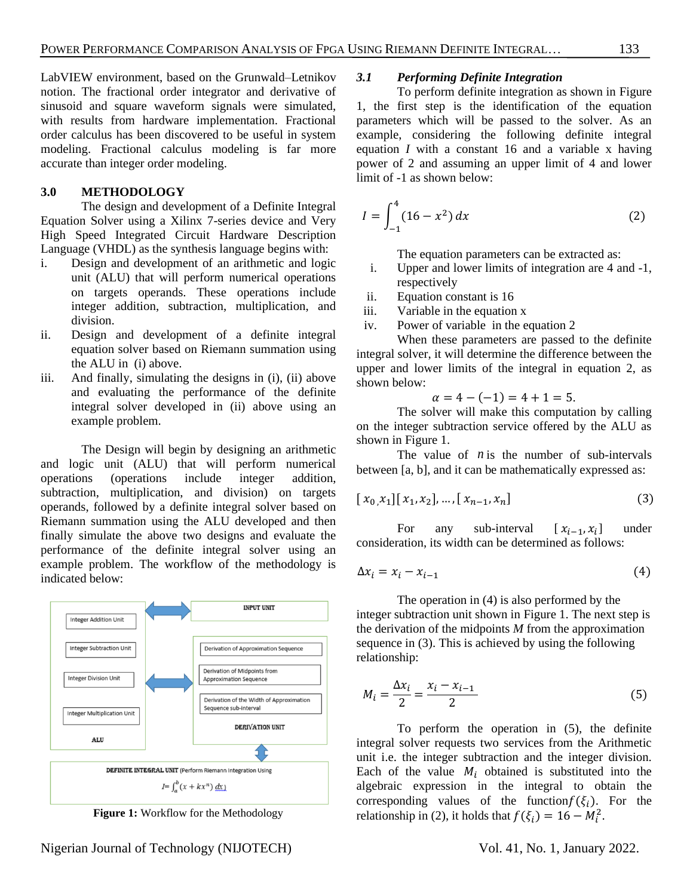LabVIEW environment, based on the Grunwald–Letnikov notion. The fractional order integrator and derivative of

sinusoid and square waveform signals were simulated, with results from hardware implementation. Fractional order calculus has been discovered to be useful in system modeling. Fractional calculus modeling is far more accurate than integer order modeling.

## **3.0 METHODOLOGY**

The design and development of a Definite Integral Equation Solver using a Xilinx 7-series device and Very High Speed Integrated Circuit Hardware Description Language (VHDL) as the synthesis language begins with:

- i. Design and development of an arithmetic and logic unit (ALU) that will perform numerical operations on targets operands. These operations include integer addition, subtraction, multiplication, and division.
- ii. Design and development of a definite integral equation solver based on Riemann summation using the ALU in (i) above.
- iii. And finally, simulating the designs in (i), (ii) above and evaluating the performance of the definite integral solver developed in (ii) above using an example problem.

The Design will begin by designing an arithmetic and logic unit (ALU) that will perform numerical operations (operations include integer addition, subtraction, multiplication, and division) on targets operands, followed by a definite integral solver based on Riemann summation using the ALU developed and then finally simulate the above two designs and evaluate the performance of the definite integral solver using an example problem. The workflow of the methodology is indicated below:



**Figure 1:** Workflow for the Methodology

#### *3.1 Performing Definite Integration*

To perform definite integration as shown in Figure 1, the first step is the identification of the equation parameters which will be passed to the solver. As an example, considering the following definite integral equation *I* with a constant 16 and a variable x having power of 2 and assuming an upper limit of 4 and lower limit of -1 as shown below:

$$
I = \int_{-1}^{4} (16 - x^2) dx
$$
 (2)

The equation parameters can be extracted as:

- i. Upper and lower limits of integration are 4 and -1, respectively
- ii. Equation constant is 16
- iii. Variable in the equation x
- iv. Power of variable in the equation 2

When these parameters are passed to the definite integral solver, it will determine the difference between the upper and lower limits of the integral in equation 2, as shown below:

$$
\alpha = 4 - (-1) = 4 + 1 = 5.
$$

The solver will make this computation by calling on the integer subtraction service offered by the ALU as shown in Figure 1.

The value of  $n$  is the number of sub-intervals between [a, b], and it can be mathematically expressed as:

$$
[x_0, x_1][x_1, x_2], \dots, [x_{n-1}, x_n]
$$
 (3)

For any sub-interval  $[x_{i-1}, x_i]$ under consideration, its width can be determined as follows:

$$
\Delta x_i = x_i - x_{i-1} \tag{4}
$$

The operation in (4) is also performed by the integer subtraction unit shown in Figure 1. The next step is the derivation of the midpoints *M* from the approximation sequence in (3). This is achieved by using the following relationship:

$$
M_{i} = \frac{\Delta x_{i}}{2} = \frac{x_{i} - x_{i-1}}{2}
$$
 (5)

To perform the operation in (5), the definite integral solver requests two services from the Arithmetic unit i.e. the integer subtraction and the integer division. Each of the value  $M_i$  obtained is substituted into the algebraic expression in the integral to obtain the corresponding values of the function  $f(\xi_i)$ . For the relationship in (2), it holds that  $f(\xi_i) = 16 - M_i^2$ .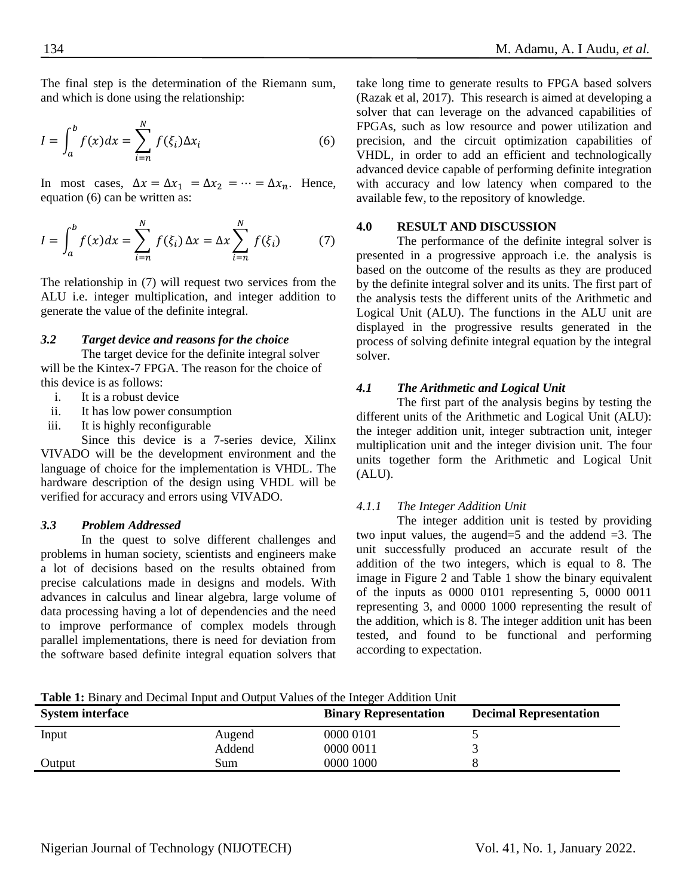The final step is the determination of the Riemann sum, and which is done using the relationship:

$$
I = \int_{a}^{b} f(x)dx = \sum_{i=n}^{N} f(\xi_i) \Delta x_i
$$
 (6)

In most cases,  $\Delta x = \Delta x_1 = \Delta x_2 = \cdots = \Delta x_n$ . Hence, equation (6) can be written as:

$$
I = \int_{a}^{b} f(x)dx = \sum_{i=n}^{N} f(\xi_i) \Delta x = \Delta x \sum_{i=n}^{N} f(\xi_i)
$$
 (7)

The relationship in (7) will request two services from the ALU i.e. integer multiplication, and integer addition to generate the value of the definite integral.

#### *3.2 Target device and reasons for the choice*

The target device for the definite integral solver will be the Kintex-7 FPGA. The reason for the choice of this device is as follows:

- i. It is a robust device
- ii. It has low power consumption
- iii. It is highly reconfigurable

Since this device is a 7-series device, Xilinx VIVADO will be the development environment and the language of choice for the implementation is VHDL. The hardware description of the design using VHDL will be verified for accuracy and errors using VIVADO.

#### *3.3 Problem Addressed*

In the quest to solve different challenges and problems in human society, scientists and engineers make a lot of decisions based on the results obtained from precise calculations made in designs and models. With advances in calculus and linear algebra, large volume of data processing having a lot of dependencies and the need to improve performance of complex models through parallel implementations, there is need for deviation from the software based definite integral equation solvers that take long time to generate results to FPGA based solvers (Razak et al, 2017). This research is aimed at developing a solver that can leverage on the advanced capabilities of FPGAs, such as low resource and power utilization and precision, and the circuit optimization capabilities of VHDL, in order to add an efficient and technologically advanced device capable of performing definite integration with accuracy and low latency when compared to the available few, to the repository of knowledge.

#### **4.0 RESULT AND DISCUSSION**

The performance of the definite integral solver is presented in a progressive approach i.e. the analysis is based on the outcome of the results as they are produced by the definite integral solver and its units. The first part of the analysis tests the different units of the Arithmetic and Logical Unit (ALU). The functions in the ALU unit are displayed in the progressive results generated in the process of solving definite integral equation by the integral solver.

## *4.1 The Arithmetic and Logical Unit*

The first part of the analysis begins by testing the different units of the Arithmetic and Logical Unit (ALU): the integer addition unit, integer subtraction unit, integer multiplication unit and the integer division unit. The four units together form the Arithmetic and Logical Unit (ALU).

#### *4.1.1 The Integer Addition Unit*

The integer addition unit is tested by providing two input values, the augend=5 and the addend  $=3$ . The unit successfully produced an accurate result of the addition of the two integers, which is equal to 8. The image in Figure 2 and Table 1 show the binary equivalent of the inputs as 0000 0101 representing 5, 0000 0011 representing 3, and 0000 1000 representing the result of the addition, which is 8. The integer addition unit has been tested, and found to be functional and performing according to expectation.

**Table 1:** Binary and Decimal Input and Output Values of the Integer Addition Unit

| <b>System interface</b> |        | <b>Binary Representation</b> | <b>Decimal Representation</b> |
|-------------------------|--------|------------------------------|-------------------------------|
| Input                   | Augend | 0000 0101                    |                               |
|                         | Addend | 0000 0011                    |                               |
| Output                  | Sum    | 0000 1000                    |                               |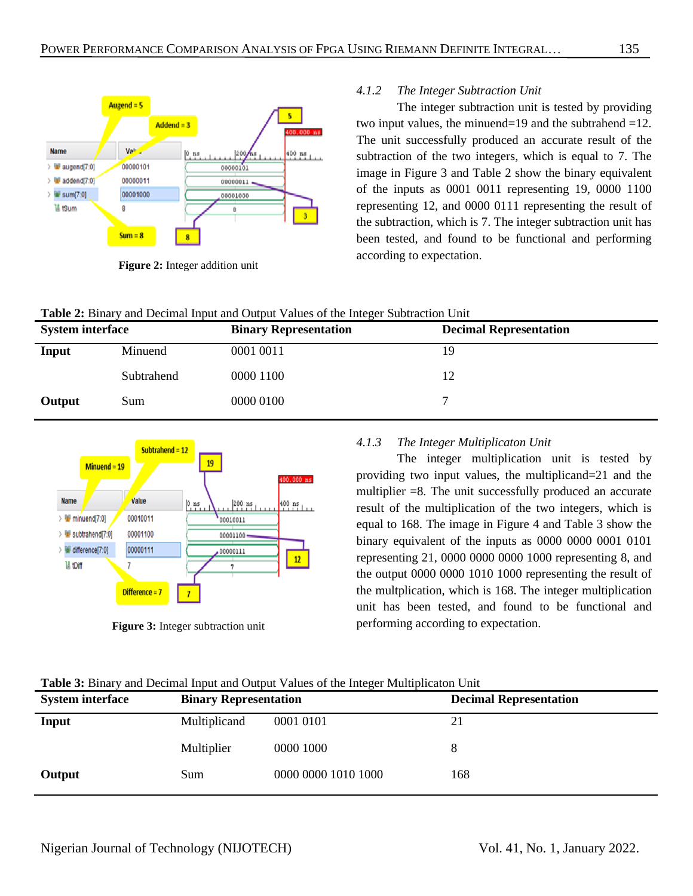

**Figure 2:** Integer addition unit

**Table 2:** Binary and Decimal Input and Output Values of the Integer Subtraction Unit

## *4.1.2 The Integer Subtraction Unit*

The integer subtraction unit is tested by providing two input values, the minuend=19 and the subtrahend =12. The unit successfully produced an accurate result of the subtraction of the two integers, which is equal to 7. The image in Figure 3 and Table 2 show the binary equivalent of the inputs as 0001 0011 representing 19, 0000 1100 representing 12, and 0000 0111 representing the result of the subtraction, which is 7. The integer subtraction unit has been tested, and found to be functional and performing according to expectation.

| <b>System interface</b> |            | <b>Binary Representation</b> | <b>Decimal Representation</b> |
|-------------------------|------------|------------------------------|-------------------------------|
| Input                   | Minuend    | 0001 0011                    | 19                            |
|                         | Subtrahend | 0000 1100                    | 12                            |
| Output                  | Sum        | 0000 0100                    |                               |



**Figure 3:** Integer subtraction unit

# *4.1.3 The Integer Multiplicaton Unit*

The integer multiplication unit is tested by providing two input values, the multiplicand=21 and the multiplier  $=8$ . The unit successfully produced an accurate result of the multiplication of the two integers, which is equal to 168. The image in Figure 4 and Table 3 show the binary equivalent of the inputs as 0000 0000 0001 0101 representing 21, 0000 0000 0000 1000 representing 8, and the output 0000 0000 1010 1000 representing the result of the multplication, which is 168. The integer multiplication unit has been tested, and found to be functional and performing according to expectation.

|  |  |  | <b>Table 3:</b> Binary and Decimal Input and Output Values of the Integer Multiplicaton Unit |  |  |
|--|--|--|----------------------------------------------------------------------------------------------|--|--|
|--|--|--|----------------------------------------------------------------------------------------------|--|--|

| <b>System interface</b> | <b>Binary Representation</b> |                     | <b>Decimal Representation</b> |
|-------------------------|------------------------------|---------------------|-------------------------------|
| Input                   | Multiplicand                 | 0001 0101           | 21                            |
|                         | Multiplier                   | 0000 1000           | 8                             |
| Output                  | Sum                          | 0000 0000 1010 1000 | 168                           |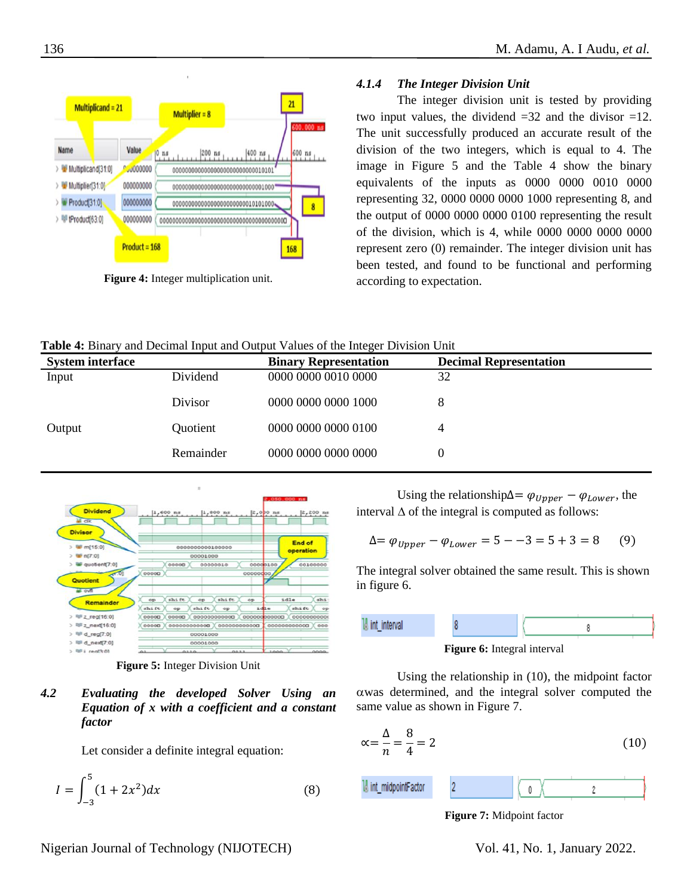

**Figure 4:** Integer multiplication unit.

## *4.1.4 The Integer Division Unit*

The integer division unit is tested by providing two input values, the dividend  $=32$  and the divisor  $=12$ . The unit successfully produced an accurate result of the division of the two integers, which is equal to 4. The image in Figure 5 and the Table 4 show the binary equivalents of the inputs as 0000 0000 0010 0000 representing 32, 0000 0000 0000 1000 representing 8, and the output of 0000 0000 0000 0100 representing the result of the division, which is 4, while 0000 0000 0000 0000 represent zero (0) remainder. The integer division unit has been tested, and found to be functional and performing according to expectation.

|  |  |  | Table 4: Binary and Decimal Input and Output Values of the Integer Division Unit |
|--|--|--|----------------------------------------------------------------------------------|
|--|--|--|----------------------------------------------------------------------------------|

| <b>System interface</b> |           | <b>Binary Representation</b> | <b>Decimal Representation</b> |
|-------------------------|-----------|------------------------------|-------------------------------|
| Input                   | Dividend  | 0000 0000 0010 0000          | 32                            |
|                         | Divisor   | 0000 0000 0000 1000          |                               |
| Output                  | Quotient  | 0000 0000 0000 0100          |                               |
|                         | Remainder | 0000 0000 0000 0000          |                               |



**Figure 5:** Integer Division Unit

*4.2 Evaluating the developed Solver Using an Equation of x with a coefficient and a constant factor*

Let consider a definite integral equation:

$$
I = \int_{-3}^{5} (1 + 2x^2) dx
$$
 (8)

Using the relationship∆=  $\varphi_{Upper} - \varphi_{Lower}$ , the interval  $\Delta$  of the integral is computed as follows:

$$
\Delta = \varphi_{Upper} - \varphi_{Lower} = 5 - 3 = 5 + 3 = 8 \tag{9}
$$

The integral solver obtained the same result. This is shown in figure 6.



**Figure 6:** Integral interval

Using the relationship in (10), the midpoint factor  $\alpha$  was determined, and the integral solver computed the same value as shown in Figure 7.

$$
\alpha = \frac{\Delta}{n} = \frac{8}{4} = 2\tag{10}
$$



**Figure 7:** Midpoint factor

Nigerian Journal of Technology (NIJOTECH) Vol. 41, No. 1, January 2022.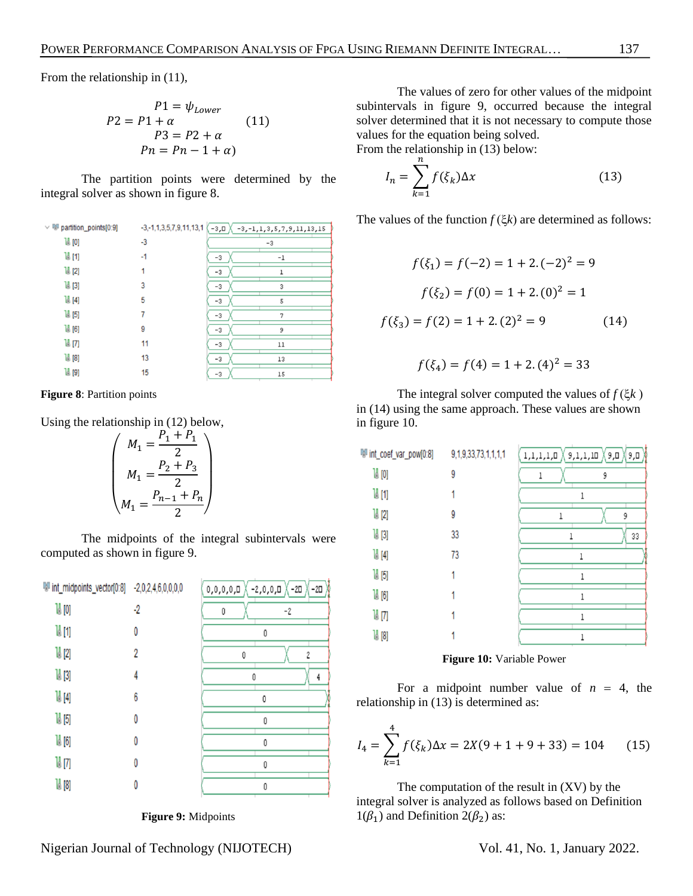From the relationship in (11),

$$
P1 = \psi_{Lower}
$$
  
\n
$$
P2 = P1 + \alpha
$$
  
\n
$$
P3 = P2 + \alpha
$$
  
\n
$$
Pn = Pn - 1 + \alpha
$$
  
\n(11)

The partition points were determined by the integral solver as shown in figure 8.

| $\vee$ M <sup>I</sup> partition_points[0:9] | $-3, -1, 1, 3, 5, 7, 9, 11, 13, 1$ | -з,ш Х<br>$-3, -1, 1, 3, 5, 7, 9, 11, 13, 15$ |  |
|---------------------------------------------|------------------------------------|-----------------------------------------------|--|
| 19[0]                                       | $-3$                               | $-3$                                          |  |
| 14 [1]                                      | $-1$                               | $-1$<br>-3                                    |  |
| $\mathbb{U}$ [2]                            |                                    | -3                                            |  |
| $\mathbb{U}$ [3]                            | 3                                  | $-3$<br>3                                     |  |
| $\mathbb{U}$ [4]                            | 5                                  | -3<br>5                                       |  |
| $\mathbb{U}$ [5]                            |                                    | 7<br>-3                                       |  |
| $\mathbb{U}$ [6]                            | 9                                  | 9<br>-3                                       |  |
| 14 [7]                                      | 11                                 | $-3$<br>11                                    |  |
| $\sqrt{16}$ [8]                             | 13                                 | $-3$<br>13                                    |  |
| 14 [9]                                      | 15                                 | 15<br>$-3$                                    |  |
|                                             |                                    |                                               |  |

**Figure 8**: Partition points

Using the relationship in (12) below,

$$
\begin{pmatrix} M_1 = \frac{P_1 + P_1}{2} \\ M_1 = \frac{P_2 + P_3}{2} \\ M_1 = \frac{P_{n-1} + P_n}{2} \end{pmatrix}
$$

The midpoints of the integral subintervals were computed as shown in figure 9.

| lill int_midpoints_vector[0:8] -2,0,2,4,6,0,0,0,0 |    | $-2, 0, 0, 0$<br>$\mathsf{D},\mathsf{0},\mathsf{0},\mathsf{0},\mathsf{0}$<br>X −20<br>$-2\square$ |
|---------------------------------------------------|----|---------------------------------------------------------------------------------------------------|
| 14 [0]                                            | -2 | Ū<br>-2                                                                                           |
| 14 [1]                                            | 0  | 0                                                                                                 |
| $\mathbb{I}^1$ [2]                                | 2  | 2<br>0                                                                                            |
| 14 [3]                                            |    | 0<br>4                                                                                            |
| $\mathbb{H}$ [4]                                  | 6  | 0                                                                                                 |
| 14 [5]                                            | 0  | Ū                                                                                                 |
| $\mathbb{N}$ [6]                                  | 0  | Ū                                                                                                 |
| 14 [7]                                            | O  | Ū                                                                                                 |
| 18 [8]                                            |    | Ū                                                                                                 |

**Figure 9:** Midpoints

The values of zero for other values of the midpoint subintervals in figure 9, occurred because the integral solver determined that it is not necessary to compute those values for the equation being solved.

From the relationship in (13) below:  $\boldsymbol{n}$ 

$$
I_n = \sum_{k=1} f(\xi_k) \Delta x \tag{13}
$$

The values of the function  $f(\xi k)$  are determined as follows:

$$
f(\xi_1) = f(-2) = 1 + 2.(-2)^2 = 9
$$
  

$$
f(\xi_2) = f(0) = 1 + 2.(0)^2 = 1
$$
  

$$
f(\xi_3) = f(2) = 1 + 2.(2)^2 = 9
$$
 (14)

$$
f(\xi_4) = f(4) = 1 + 2. (4)^2 = 33
$$

The integral solver computed the values of  $f(\xi k)$ in (14) using the same approach. These values are shown in figure 10.

| W int_coef_var_pow[0:8] | 9,1,9,33,73,1,1,1,1 | $\mathsf{1,}\mathsf{1,}\mathsf{1,}\mathsf{1,}\mathsf{0}$<br>9,0<br>9,1,1,10<br>۵,۵ |  |
|-------------------------|---------------------|------------------------------------------------------------------------------------|--|
| <b>14 [0]</b>           | 9                   | 9<br>1                                                                             |  |
| 14 [1]                  |                     |                                                                                    |  |
| 14 [2]                  | 9                   | 9                                                                                  |  |
| 14 [3]                  | 33                  | 33                                                                                 |  |
| $\mathbb{U}$ [4]        | 73                  |                                                                                    |  |
| 14 [5]                  |                     |                                                                                    |  |
| $\frac{10}{2}$ [6]      |                     |                                                                                    |  |
| 14 [7]                  |                     |                                                                                    |  |
| 18 [8]                  |                     |                                                                                    |  |

**Figure 10:** Variable Power

For a midpoint number value of  $n = 4$ , the relationship in (13) is determined as:

$$
I_4 = \sum_{k=1}^{4} f(\xi_k) \Delta x = 2X(9 + 1 + 9 + 33) = 104 \tag{15}
$$

The computation of the result in (XV) by the integral solver is analyzed as follows based on Definition  $1(\beta_1)$  and Definition  $2(\beta_2)$  as: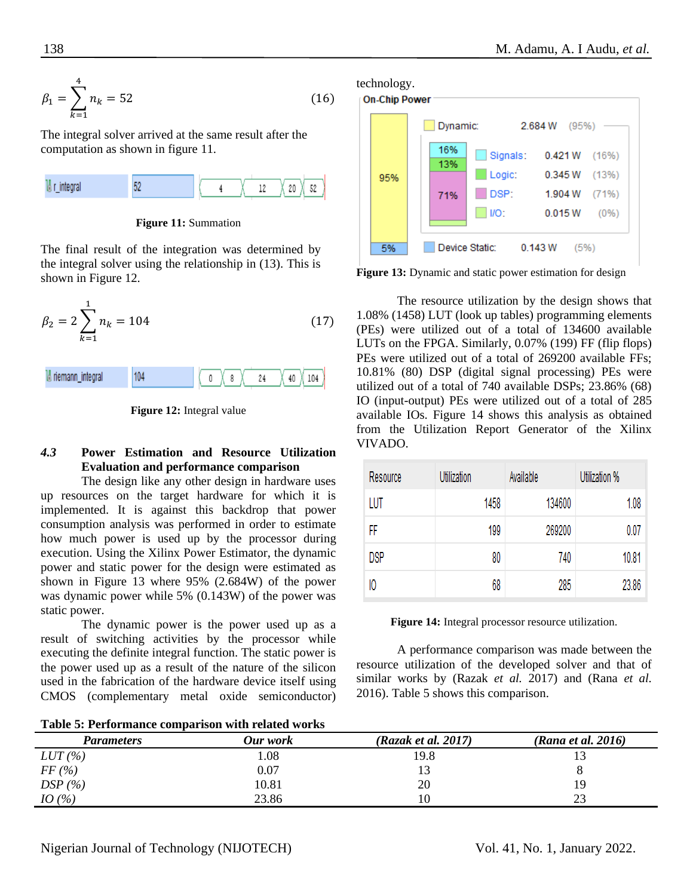$$
\beta_1 = \sum_{k=1}^4 n_k = 52\tag{16}
$$

The integral solver arrived at the same result after the computation as shown in figure 11.



**Figure 11:** Summation

The final result of the integration was determined by the integral solver using the relationship in (13). This is shown in Figure 12.





**Figure 12:** Integral value

# *4.3* **Power Estimation and Resource Utilization Evaluation and performance comparison**

The design like any other design in hardware uses up resources on the target hardware for which it is implemented. It is against this backdrop that power consumption analysis was performed in order to estimate how much power is used up by the processor during execution. Using the Xilinx Power Estimator, the dynamic power and static power for the design were estimated as shown in Figure 13 where 95% (2.684W) of the power was dynamic power while 5% (0.143W) of the power was static power.

The dynamic power is the power used up as a result of switching activities by the processor while executing the definite integral function. The static power is the power used up as a result of the nature of the silicon used in the fabrication of the hardware device itself using CMOS (complementary metal oxide semiconductor)

technology.



**Figure 13:** Dynamic and static power estimation for design

The resource utilization by the design shows that 1.08% (1458) LUT (look up tables) programming elements (PEs) were utilized out of a total of 134600 available LUTs on the FPGA. Similarly, 0.07% (199) FF (flip flops) PEs were utilized out of a total of 269200 available FFs; 10.81% (80) DSP (digital signal processing) PEs were utilized out of a total of 740 available DSPs; 23.86% (68) IO (input-output) PEs were utilized out of a total of 285 available IOs. Figure 14 shows this analysis as obtained from the Utilization Report Generator of the Xilinx VIVADO.

| Resource   | Utilization | Available | Utilization % |
|------------|-------------|-----------|---------------|
| LUT        | 1458        | 134600    | 1.08          |
| FF         | 199         | 269200    | 0.07          |
| <b>DSP</b> | 80          | 740       | 10.81         |
| 10         | 68          | 285       | 23.86         |

**Figure 14:** Integral processor resource utilization.

A performance comparison was made between the resource utilization of the developed solver and that of similar works by (Razak *et al.* 2017) and (Rana *et al.* 2016). Table 5 shows this comparison.

| Table 5: Performance comparison with related works |  |  |  |  |  |  |
|----------------------------------------------------|--|--|--|--|--|--|
|----------------------------------------------------|--|--|--|--|--|--|

| <b>Parameters</b> | Our work | (Razak et al. 2017) | (Rana et al. 2016) |
|-------------------|----------|---------------------|--------------------|
| LUT(%)            | l.08     | 19.8                |                    |
| FF(%)             | 0.07     |                     |                    |
| DSP(%)            | 10.81    | 20                  | 19                 |
| IO(%)             | 23.86    | 10                  | つつ                 |